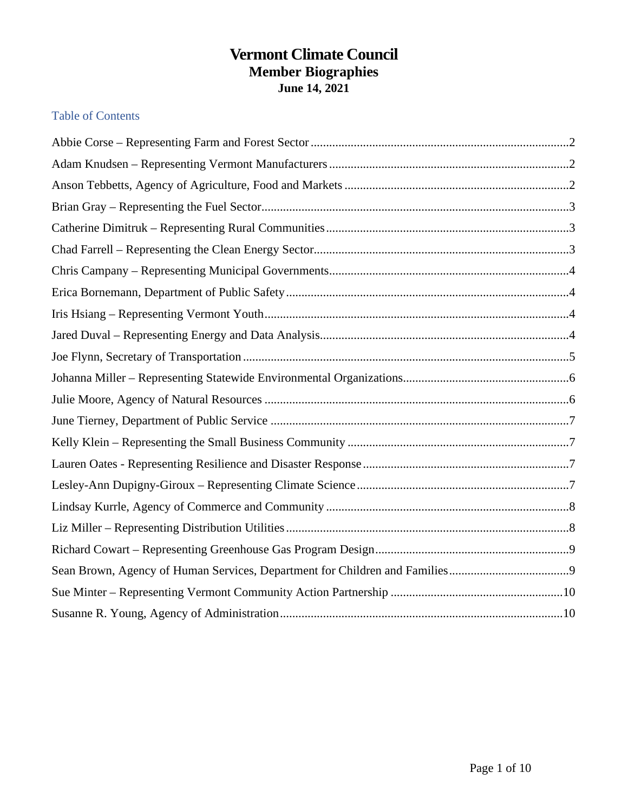# **Vermont Climate Council Member Biographies June 14, 2021**

# Table of Contents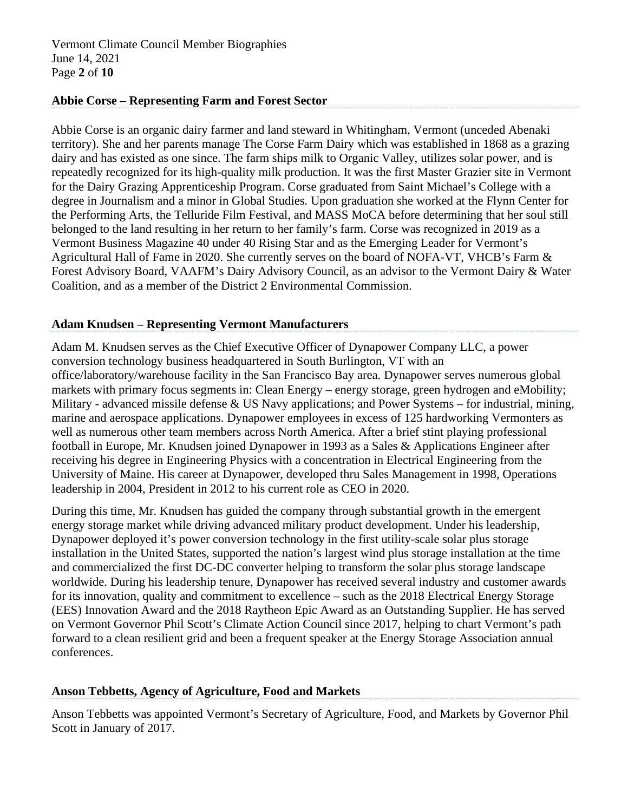#### <span id="page-1-0"></span>**Abbie Corse – Representing Farm and Forest Sector**

Abbie Corse is an organic dairy farmer and land steward in Whitingham, Vermont (unceded Abenaki territory). She and her parents manage The Corse Farm Dairy which was established in 1868 as a grazing dairy and has existed as one since. The farm ships milk to Organic Valley, utilizes solar power, and is repeatedly recognized for its high-quality milk production. It was the first Master Grazier site in Vermont for the Dairy Grazing Apprenticeship Program. Corse graduated from Saint Michael's College with a degree in Journalism and a minor in Global Studies. Upon graduation she worked at the Flynn Center for the Performing Arts, the Telluride Film Festival, and MASS MoCA before determining that her soul still belonged to the land resulting in her return to her family's farm. Corse was recognized in 2019 as a Vermont Business Magazine 40 under 40 Rising Star and as the Emerging Leader for Vermont's Agricultural Hall of Fame in 2020. She currently serves on the board of NOFA-VT, VHCB's Farm & Forest Advisory Board, VAAFM's Dairy Advisory Council, as an advisor to the Vermont Dairy & Water Coalition, and as a member of the District 2 Environmental Commission.

#### <span id="page-1-1"></span>**Adam Knudsen – Representing Vermont Manufacturers**

Adam M. Knudsen serves as the Chief Executive Officer of Dynapower Company LLC, a power conversion technology business headquartered in South Burlington, VT with an office/laboratory/warehouse facility in the San Francisco Bay area. Dynapower serves numerous global markets with primary focus segments in: Clean Energy – energy storage, green hydrogen and eMobility; Military - advanced missile defense & US Navy applications; and Power Systems – for industrial, mining, marine and aerospace applications. Dynapower employees in excess of 125 hardworking Vermonters as well as numerous other team members across North America. After a brief stint playing professional football in Europe, Mr. Knudsen joined Dynapower in 1993 as a Sales & Applications Engineer after receiving his degree in Engineering Physics with a concentration in Electrical Engineering from the University of Maine. His career at Dynapower, developed thru Sales Management in 1998, Operations leadership in 2004, President in 2012 to his current role as CEO in 2020.

During this time, Mr. Knudsen has guided the company through substantial growth in the emergent energy storage market while driving advanced military product development. Under his leadership, Dynapower deployed it's power conversion technology in the first utility-scale solar plus storage installation in the United States, supported the nation's largest wind plus storage installation at the time and commercialized the first DC-DC converter helping to transform the solar plus storage landscape worldwide. During his leadership tenure, Dynapower has received several industry and customer awards for its innovation, quality and commitment to excellence – such as the 2018 Electrical Energy Storage (EES) Innovation Award and the 2018 Raytheon Epic Award as an Outstanding Supplier. He has served on Vermont Governor Phil Scott's Climate Action Council since 2017, helping to chart Vermont's path forward to a clean resilient grid and been a frequent speaker at the Energy Storage Association annual conferences.

#### <span id="page-1-2"></span>**Anson Tebbetts, Agency of Agriculture, Food and Markets**

Anson Tebbetts was appointed Vermont's Secretary of Agriculture, Food, and Markets by Governor Phil Scott in January of 2017.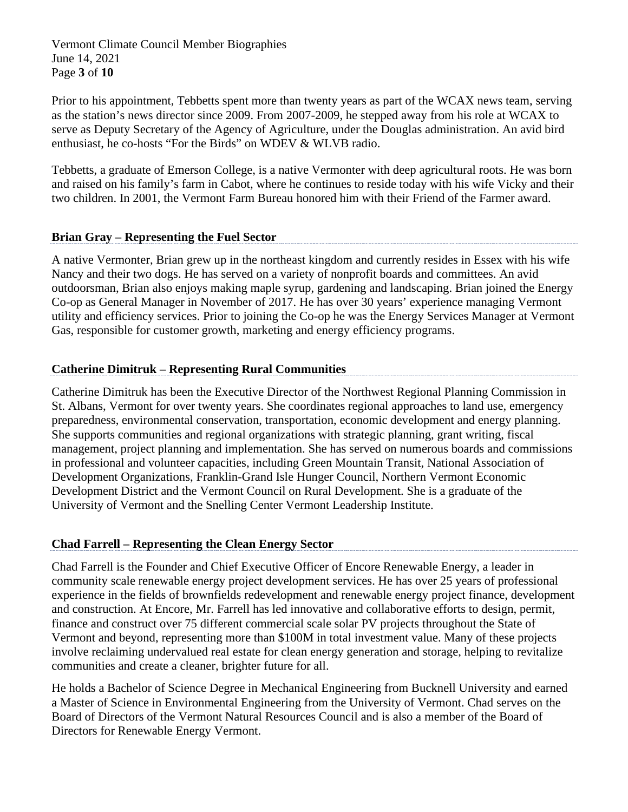Vermont Climate Council Member Biographies June 14, 2021 Page **3** of **10**

Prior to his appointment, Tebbetts spent more than twenty years as part of the WCAX news team, serving as the station's news director since 2009. From 2007-2009, he stepped away from his role at WCAX to serve as Deputy Secretary of the Agency of Agriculture, under the Douglas administration. An avid bird enthusiast, he co-hosts "For the Birds" on WDEV & WLVB radio.

Tebbetts, a graduate of Emerson College, is a native Vermonter with deep agricultural roots. He was born and raised on his family's farm in Cabot, where he continues to reside today with his wife Vicky and their two children. In 2001, the Vermont Farm Bureau honored him with their Friend of the Farmer award.

#### <span id="page-2-0"></span>**Brian Gray – Representing the Fuel Sector**

A native Vermonter, Brian grew up in the northeast kingdom and currently resides in Essex with his wife Nancy and their two dogs. He has served on a variety of nonprofit boards and committees. An avid outdoorsman, Brian also enjoys making maple syrup, gardening and landscaping. Brian joined the Energy Co-op as General Manager in November of 2017. He has over 30 years' experience managing Vermont utility and efficiency services. Prior to joining the Co-op he was the Energy Services Manager at Vermont Gas, responsible for customer growth, marketing and energy efficiency programs.

#### <span id="page-2-1"></span>**Catherine Dimitruk – Representing Rural Communities**

Catherine Dimitruk has been the Executive Director of the Northwest Regional Planning Commission in St. Albans, Vermont for over twenty years. She coordinates regional approaches to land use, emergency preparedness, environmental conservation, transportation, economic development and energy planning. She supports communities and regional organizations with strategic planning, grant writing, fiscal management, project planning and implementation. She has served on numerous boards and commissions in professional and volunteer capacities, including Green Mountain Transit, National Association of Development Organizations, Franklin-Grand Isle Hunger Council, Northern Vermont Economic Development District and the Vermont Council on Rural Development. She is a graduate of the University of Vermont and the Snelling Center Vermont Leadership Institute.

# <span id="page-2-2"></span>**Chad Farrell – Representing the Clean Energy Sector**

Chad Farrell is the Founder and Chief Executive Officer of Encore Renewable Energy, a leader in community scale renewable energy project development services. He has over 25 years of professional experience in the fields of brownfields redevelopment and renewable energy project finance, development and construction. At Encore, Mr. Farrell has led innovative and collaborative efforts to design, permit, finance and construct over 75 different commercial scale solar PV projects throughout the State of Vermont and beyond, representing more than \$100M in total investment value. Many of these projects involve reclaiming undervalued real estate for clean energy generation and storage, helping to revitalize communities and create a cleaner, brighter future for all.

He holds a Bachelor of Science Degree in Mechanical Engineering from Bucknell University and earned a Master of Science in Environmental Engineering from the University of Vermont. Chad serves on the Board of Directors of the Vermont Natural Resources Council and is also a member of the Board of Directors for Renewable Energy Vermont.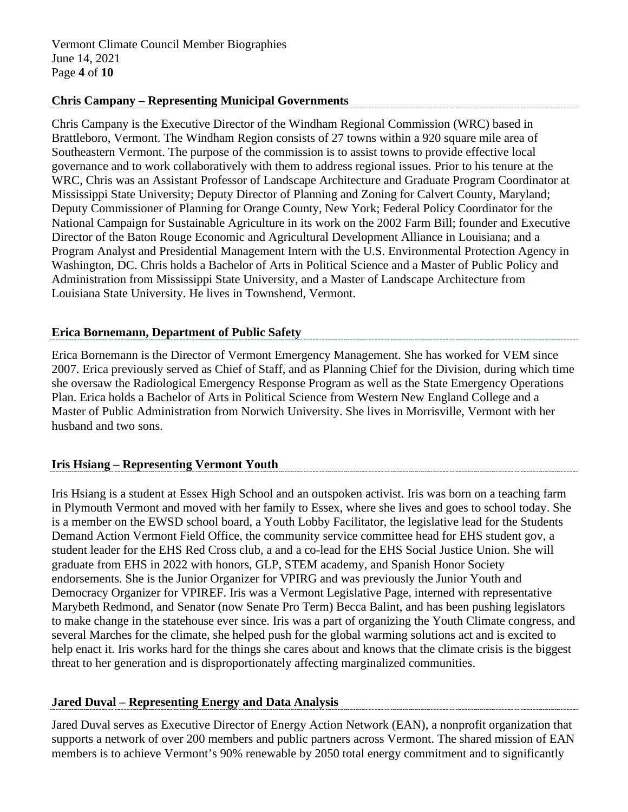Vermont Climate Council Member Biographies June 14, 2021 Page **4** of **10**

#### <span id="page-3-0"></span>**Chris Campany – Representing Municipal Governments**

Chris Campany is the Executive Director of the Windham Regional Commission (WRC) based in Brattleboro, Vermont. The Windham Region consists of 27 towns within a 920 square mile area of Southeastern Vermont. The purpose of the commission is to assist towns to provide effective local governance and to work collaboratively with them to address regional issues. Prior to his tenure at the WRC, Chris was an Assistant Professor of Landscape Architecture and Graduate Program Coordinator at Mississippi State University; Deputy Director of Planning and Zoning for Calvert County, Maryland; Deputy Commissioner of Planning for Orange County, New York; Federal Policy Coordinator for the National Campaign for Sustainable Agriculture in its work on the 2002 Farm Bill; founder and Executive Director of the Baton Rouge Economic and Agricultural Development Alliance in Louisiana; and a Program Analyst and Presidential Management Intern with the U.S. Environmental Protection Agency in Washington, DC. Chris holds a Bachelor of Arts in Political Science and a Master of Public Policy and Administration from Mississippi State University, and a Master of Landscape Architecture from Louisiana State University. He lives in Townshend, Vermont.

# <span id="page-3-1"></span>**Erica Bornemann, Department of Public Safety**

Erica Bornemann is the Director of Vermont Emergency Management. She has worked for VEM since 2007. Erica previously served as Chief of Staff, and as Planning Chief for the Division, during which time she oversaw the Radiological Emergency Response Program as well as the State Emergency Operations Plan. Erica holds a Bachelor of Arts in Political Science from Western New England College and a Master of Public Administration from Norwich University. She lives in Morrisville, Vermont with her husband and two sons.

#### <span id="page-3-2"></span>**Iris Hsiang – Representing Vermont Youth**

Iris Hsiang is a student at Essex High School and an outspoken activist. Iris was born on a teaching farm in Plymouth Vermont and moved with her family to Essex, where she lives and goes to school today. She is a member on the EWSD school board, a Youth Lobby Facilitator, the legislative lead for the Students Demand Action Vermont Field Office, the community service committee head for EHS student gov, a student leader for the EHS Red Cross club, a and a co-lead for the EHS Social Justice Union. She will graduate from EHS in 2022 with honors, GLP, STEM academy, and Spanish Honor Society endorsements. She is the Junior Organizer for VPIRG and was previously the Junior Youth and Democracy Organizer for VPIREF. Iris was a Vermont Legislative Page, interned with representative Marybeth Redmond, and Senator (now Senate Pro Term) Becca Balint, and has been pushing legislators to make change in the statehouse ever since. Iris was a part of organizing the Youth Climate congress, and several Marches for the climate, she helped push for the global warming solutions act and is excited to help enact it. Iris works hard for the things she cares about and knows that the climate crisis is the biggest threat to her generation and is disproportionately affecting marginalized communities.

#### <span id="page-3-3"></span>**Jared Duval – Representing Energy and Data Analysis**

Jared Duval serves as Executive Director of Energy Action Network (EAN), a nonprofit organization that supports a network of over 200 members and public partners across Vermont. The shared mission of EAN members is to achieve Vermont's 90% renewable by 2050 total energy commitment and to significantly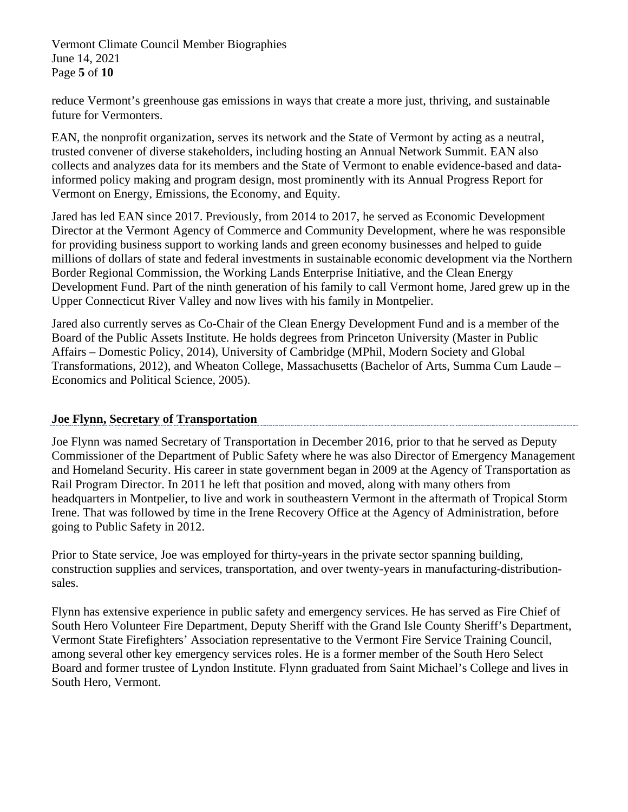Vermont Climate Council Member Biographies June 14, 2021 Page **5** of **10**

reduce Vermont's greenhouse gas emissions in ways that create a more just, thriving, and sustainable future for Vermonters.

EAN, the nonprofit organization, serves its network and the State of Vermont by acting as a neutral, trusted convener of diverse stakeholders, including hosting an [Annual Network Summit.](https://www.eanvt.org/events-and-initiatives/2020-summit/) EAN also collects and analyzes data for its members and the State of Vermont to enable evidence-based and datainformed policy making and program design, most prominently with its [Annual Progress Report for](https://www.eanvt.org/2019-progress-report/)  [Vermont on Energy, Emissions, the Economy, and Equity.](https://www.eanvt.org/2019-progress-report/)

Jared has led EAN since 2017. Previously, from 2014 to 2017, he served as Economic Development Director at the Vermont Agency of Commerce and Community Development, where he was responsible for providing business support to working lands and green economy businesses and helped to guide millions of dollars of state and federal investments in sustainable economic development via the Northern Border Regional Commission, the Working Lands Enterprise Initiative, and the Clean Energy Development Fund. Part of the ninth generation of his family to call Vermont home, Jared grew up in the Upper Connecticut River Valley and now lives with his family in Montpelier.

Jared also currently serves as Co-Chair of the Clean Energy Development Fund and is a member of the Board of the Public Assets Institute. He holds degrees from Princeton University (Master in Public Affairs – Domestic Policy, 2014), University of Cambridge (MPhil, Modern Society and Global Transformations, 2012), and Wheaton College, Massachusetts (Bachelor of Arts, Summa Cum Laude – Economics and Political Science, 2005).

# <span id="page-4-0"></span>**Joe Flynn, Secretary of Transportation**

Joe Flynn was named Secretary of Transportation in December 2016, prior to that he served as Deputy Commissioner of the Department of Public Safety where he was also Director of Emergency Management and Homeland Security. His career in state government began in 2009 at the Agency of Transportation as Rail Program Director. In 2011 he left that position and moved, along with many others from headquarters in Montpelier, to live and work in southeastern Vermont in the aftermath of Tropical Storm Irene. That was followed by time in the Irene Recovery Office at the Agency of Administration, before going to Public Safety in 2012.

Prior to State service, Joe was employed for thirty-years in the private sector spanning building, construction supplies and services, transportation, and over twenty-years in manufacturing-distributionsales.

Flynn has extensive experience in public safety and emergency services. He has served as Fire Chief of South Hero Volunteer Fire Department, Deputy Sheriff with the Grand Isle County Sheriff's Department, Vermont State Firefighters' Association representative to the Vermont Fire Service Training Council, among several other key emergency services roles. He is a former member of the South Hero Select Board and former trustee of Lyndon Institute. Flynn graduated from Saint Michael's College and lives in South Hero, Vermont.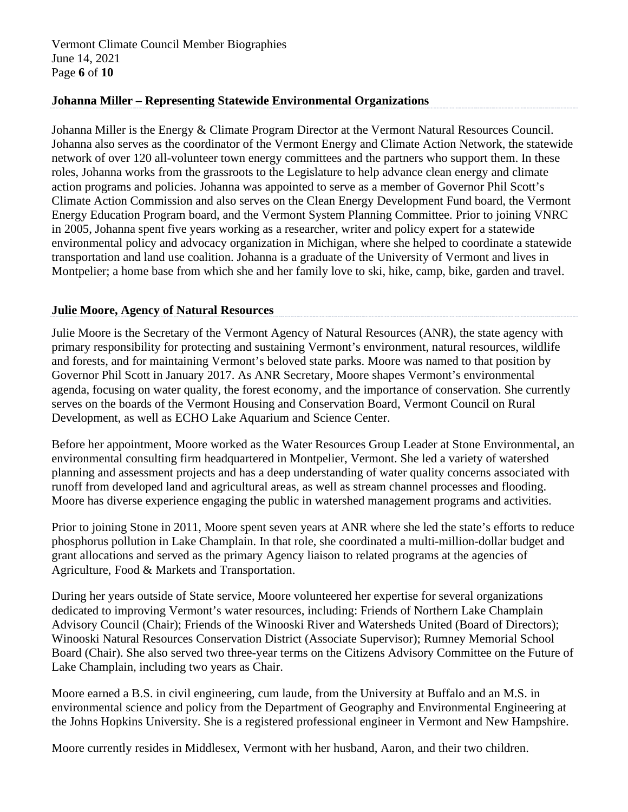#### <span id="page-5-0"></span>**Johanna Miller – Representing Statewide Environmental Organizations**

Johanna Miller is the Energy & Climate Program Director at the Vermont Natural Resources Council. Johanna also serves as the coordinator of the Vermont Energy and Climate Action Network, the statewide network of over 120 all-volunteer town energy committees and the partners who support them. In these roles, Johanna works from the grassroots to the Legislature to help advance clean energy and climate action programs and policies. Johanna was appointed to serve as a member of Governor Phil Scott's Climate Action Commission and also serves on the Clean Energy Development Fund board, the Vermont Energy Education Program board, and the Vermont System Planning Committee. Prior to joining VNRC in 2005, Johanna spent five years working as a researcher, writer and policy expert for a statewide environmental policy and advocacy organization in Michigan, where she helped to coordinate a statewide transportation and land use coalition. Johanna is a graduate of the University of Vermont and lives in Montpelier; a home base from which she and her family love to ski, hike, camp, bike, garden and travel.

#### <span id="page-5-1"></span>**Julie Moore, Agency of Natural Resources**

Julie Moore is the Secretary of the Vermont Agency of Natural Resources (ANR), the state agency with primary responsibility for protecting and sustaining Vermont's environment, natural resources, wildlife and forests, and for maintaining Vermont's beloved state parks. Moore was named to that position by Governor Phil Scott in January 2017. As ANR Secretary, Moore shapes Vermont's environmental agenda, focusing on water quality, the forest economy, and the importance of conservation. She currently serves on the boards of the Vermont Housing and Conservation Board, Vermont Council on Rural Development, as well as ECHO Lake Aquarium and Science Center.

Before her appointment, Moore worked as the Water Resources Group Leader at Stone Environmental, an environmental consulting firm headquartered in Montpelier, Vermont. She led a variety of watershed planning and assessment projects and has a deep understanding of water quality concerns associated with runoff from developed land and agricultural areas, as well as stream channel processes and flooding. Moore has diverse experience engaging the public in watershed management programs and activities.

Prior to joining Stone in 2011, Moore spent seven years at ANR where she led the state's efforts to reduce phosphorus pollution in Lake Champlain. In that role, she coordinated a multi-million-dollar budget and grant allocations and served as the primary Agency liaison to related programs at the agencies of Agriculture, Food & Markets and Transportation.

During her years outside of State service, Moore volunteered her expertise for several organizations dedicated to improving Vermont's water resources, including: Friends of Northern Lake Champlain Advisory Council (Chair); Friends of the Winooski River and Watersheds United (Board of Directors); Winooski Natural Resources Conservation District (Associate Supervisor); Rumney Memorial School Board (Chair). She also served two three-year terms on the Citizens Advisory Committee on the Future of Lake Champlain, including two years as Chair.

Moore earned a B.S. in civil engineering, cum laude, from the University at Buffalo and an M.S. in environmental science and policy from the Department of Geography and Environmental Engineering at the Johns Hopkins University. She is a registered professional engineer in Vermont and New Hampshire.

Moore currently resides in Middlesex, Vermont with her husband, Aaron, and their two children.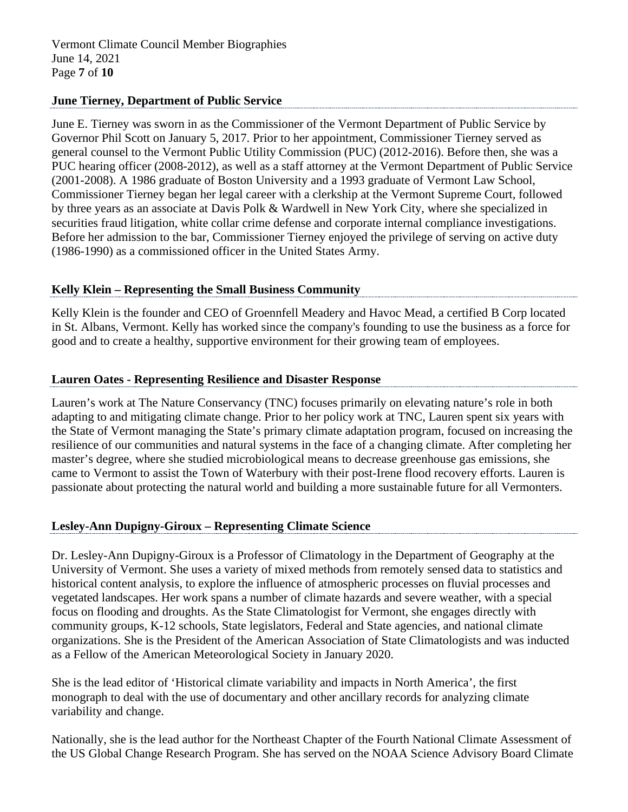#### <span id="page-6-0"></span>**June Tierney, Department of Public Service**

June E. Tierney was sworn in as the Commissioner of the Vermont Department of Public Service by Governor Phil Scott on January 5, 2017. Prior to her appointment, Commissioner Tierney served as general counsel to the Vermont Public Utility Commission (PUC) (2012-2016). Before then, she was a PUC hearing officer (2008-2012), as well as a staff attorney at the Vermont Department of Public Service (2001-2008). A 1986 graduate of Boston University and a 1993 graduate of Vermont Law School, Commissioner Tierney began her legal career with a clerkship at the Vermont Supreme Court, followed by three years as an associate at Davis Polk & Wardwell in New York City, where she specialized in securities fraud litigation, white collar crime defense and corporate internal compliance investigations. Before her admission to the bar, Commissioner Tierney enjoyed the privilege of serving on active duty (1986-1990) as a commissioned officer in the United States Army.

# <span id="page-6-1"></span>**Kelly Klein – Representing the Small Business Community**

Kelly Klein is the founder and CEO of Groennfell Meadery and Havoc Mead, a certified B Corp located in St. Albans, Vermont. Kelly has worked since the company's founding to use the business as a force for good and to create a healthy, supportive environment for their growing team of employees.

# <span id="page-6-2"></span>**Lauren Oates - Representing Resilience and Disaster Response**

Lauren's work at The Nature Conservancy (TNC) focuses primarily on elevating nature's role in both adapting to and mitigating climate change. Prior to her policy work at TNC, Lauren spent six years with the State of Vermont managing the State's primary climate adaptation program, focused on increasing the resilience of our communities and natural systems in the face of a changing climate. After completing her master's degree, where she studied microbiological means to decrease greenhouse gas emissions, she came to Vermont to assist the Town of Waterbury with their post-Irene flood recovery efforts. Lauren is passionate about protecting the natural world and building a more sustainable future for all Vermonters.

# <span id="page-6-3"></span>**Lesley-Ann Dupigny-Giroux – Representing Climate Science**

Dr. Lesley-Ann Dupigny-Giroux is a Professor of Climatology in the Department of Geography at the University of Vermont. She uses a variety of mixed methods from remotely sensed data to statistics and historical content analysis, to explore the influence of atmospheric processes on fluvial processes and vegetated landscapes. Her work spans a number of climate hazards and severe weather, with a special focus on flooding and droughts. As the State Climatologist for Vermont, she engages directly with community groups, K-12 schools, State legislators, Federal and State agencies, and national climate organizations. She is the President of the American Association of State Climatologists and was inducted as a Fellow of the American Meteorological Society in January 2020.

She is the lead editor of 'Historical climate variability and impacts in North America', the first monograph to deal with the use of documentary and other ancillary records for analyzing climate variability and change.

Nationally, she is the lead author for the Northeast Chapter of the Fourth National Climate Assessment of the US Global Change Research Program. She has served on the NOAA Science Advisory Board Climate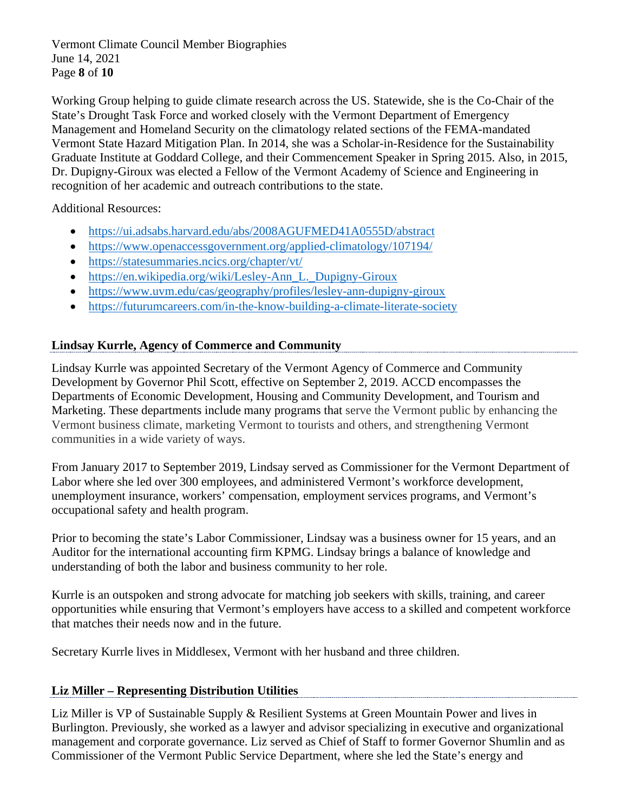Vermont Climate Council Member Biographies June 14, 2021 Page **8** of **10**

Working Group helping to guide climate research across the US. Statewide, she is the Co-Chair of the State's Drought Task Force and worked closely with the Vermont Department of Emergency Management and Homeland Security on the climatology related sections of the FEMA-mandated Vermont State Hazard Mitigation Plan. In 2014, she was a Scholar-in-Residence for the Sustainability Graduate Institute at Goddard College, and their Commencement Speaker in Spring 2015. Also, in 2015, Dr. Dupigny-Giroux was elected a Fellow of the Vermont Academy of Science and Engineering in recognition of her academic and outreach contributions to the state.

Additional Resources:

- <https://ui.adsabs.harvard.edu/abs/2008AGUFMED41A0555D/abstract>
- <https://www.openaccessgovernment.org/applied-climatology/107194/>
- <https://statesummaries.ncics.org/chapter/vt/>
- https://en.wikipedia.org/wiki/Lesley-Ann L. Dupigny-Giroux
- <https://www.uvm.edu/cas/geography/profiles/lesley-ann-dupigny-giroux>
- <span id="page-7-0"></span>• <https://futurumcareers.com/in-the-know-building-a-climate-literate-society>

#### **Lindsay Kurrle, Agency of Commerce and Community**

Lindsay Kurrle was appointed Secretary of the Vermont Agency of Commerce and Community Development by Governor Phil Scott, effective on September 2, 2019. ACCD encompasses the Departments of Economic Development, Housing and Community Development, and Tourism and Marketing. These departments include many programs that serve the Vermont public by enhancing the Vermont business climate, marketing Vermont to tourists and others, and strengthening Vermont communities in a wide variety of ways.

From January 2017 to September 2019, Lindsay served as Commissioner for the Vermont Department of Labor where she led over 300 employees, and administered Vermont's workforce development, unemployment insurance, workers' compensation, employment services programs, and Vermont's occupational safety and health program.

Prior to becoming the state's Labor Commissioner, Lindsay was a business owner for 15 years, and an Auditor for the international accounting firm KPMG. Lindsay brings a balance of knowledge and understanding of both the labor and business community to her role.

Kurrle is an outspoken and strong advocate for matching job seekers with skills, training, and career opportunities while ensuring that Vermont's employers have access to a skilled and competent workforce that matches their needs now and in the future.

Secretary Kurrle lives in Middlesex, Vermont with her husband and three children.

# <span id="page-7-1"></span>**Liz Miller – Representing Distribution Utilities**

Liz Miller is VP of Sustainable Supply & Resilient Systems at Green Mountain Power and lives in Burlington. Previously, she worked as a lawyer and advisor specializing in executive and organizational management and corporate governance. Liz served as Chief of Staff to former Governor Shumlin and as Commissioner of the Vermont Public Service Department, where she led the State's energy and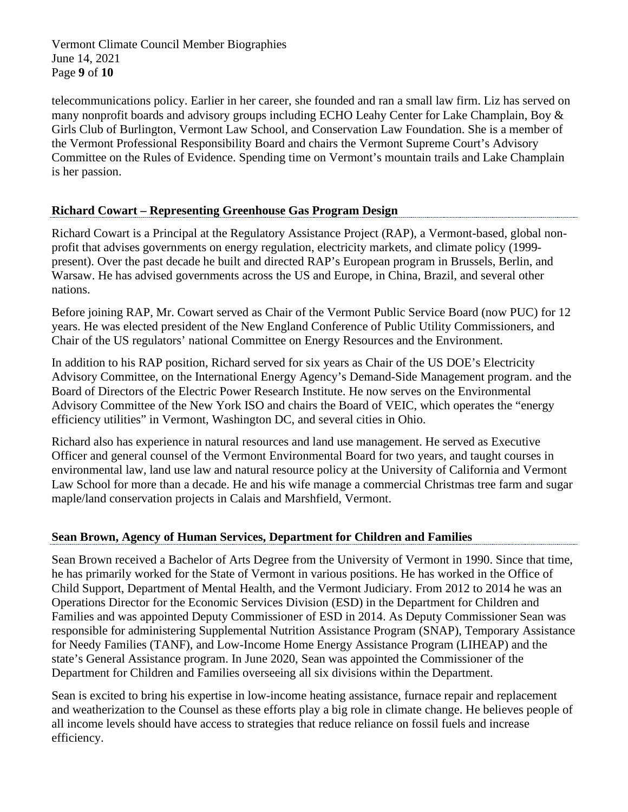Vermont Climate Council Member Biographies June 14, 2021 Page **9** of **10**

telecommunications policy. Earlier in her career, she founded and ran a small law firm. Liz has served on many nonprofit boards and advisory groups including ECHO Leahy Center for Lake Champlain, Boy & Girls Club of Burlington, Vermont Law School, and Conservation Law Foundation. She is a member of the Vermont Professional Responsibility Board and chairs the Vermont Supreme Court's Advisory Committee on the Rules of Evidence. Spending time on Vermont's mountain trails and Lake Champlain is her passion.

# <span id="page-8-0"></span>**Richard Cowart – Representing Greenhouse Gas Program Design**

Richard Cowart is a Principal at the Regulatory Assistance Project (RAP), a Vermont-based, global nonprofit that advises governments on energy regulation, electricity markets, and climate policy (1999 present). Over the past decade he built and directed RAP's European program in Brussels, Berlin, and Warsaw. He has advised governments across the US and Europe, in China, Brazil, and several other nations.

Before joining RAP, Mr. Cowart served as Chair of the Vermont Public Service Board (now PUC) for 12 years. He was elected president of the New England Conference of Public Utility Commissioners, and Chair of the US regulators' national Committee on Energy Resources and the Environment.

In addition to his RAP position, Richard served for six years as Chair of the US DOE's Electricity Advisory Committee, on the International Energy Agency's Demand-Side Management program. and the Board of Directors of the Electric Power Research Institute. He now serves on the Environmental Advisory Committee of the New York ISO and chairs the Board of VEIC, which operates the "energy efficiency utilities" in Vermont, Washington DC, and several cities in Ohio.

Richard also has experience in natural resources and land use management. He served as Executive Officer and general counsel of the Vermont Environmental Board for two years, and taught courses in environmental law, land use law and natural resource policy at the University of California and Vermont Law School for more than a decade. He and his wife manage a commercial Christmas tree farm and sugar maple/land conservation projects in Calais and Marshfield, Vermont.

# <span id="page-8-1"></span>**Sean Brown, Agency of Human Services, Department for Children and Families**

Sean Brown received a Bachelor of Arts Degree from the University of Vermont in 1990. Since that time, he has primarily worked for the State of Vermont in various positions. He has worked in the Office of Child Support, Department of Mental Health, and the Vermont Judiciary. From 2012 to 2014 he was an Operations Director for the Economic Services Division (ESD) in the Department for Children and Families and was appointed Deputy Commissioner of ESD in 2014. As Deputy Commissioner Sean was responsible for administering Supplemental Nutrition Assistance Program (SNAP), Temporary Assistance for Needy Families (TANF), and Low-Income Home Energy Assistance Program (LIHEAP) and the state's General Assistance program. In June 2020, Sean was appointed the Commissioner of the Department for Children and Families overseeing all six divisions within the Department.

Sean is excited to bring his expertise in low-income heating assistance, furnace repair and replacement and weatherization to the Counsel as these efforts play a big role in climate change. He believes people of all income levels should have access to strategies that reduce reliance on fossil fuels and increase efficiency.